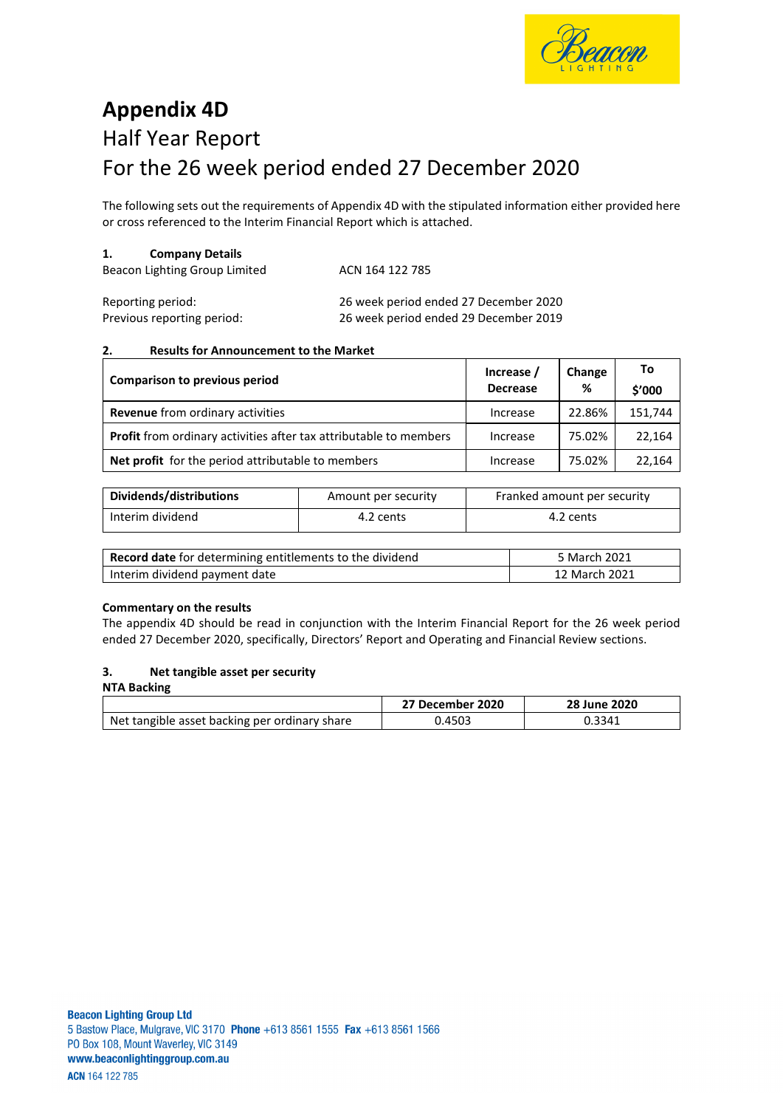

# **Appendix 4D** Half Year Report For the 26 week period ended 27 December 2020

The following sets out the requirements of Appendix 4D with the stipulated information either provided here or cross referenced to the Interim Financial Report which is attached.

#### **1. Company Details**

| Beacon Lighting Group Limited | ACN 164 122 785 |  |
|-------------------------------|-----------------|--|
|                               |                 |  |

| Reporting period:          | 26 week period ended 27 December 2020 |
|----------------------------|---------------------------------------|
| Previous reporting period: | 26 week period ended 29 December 2019 |

## **2. Results for Announcement to the Market**

| Comparison to previous period                                            | Increase /<br><b>Decrease</b> | Change<br>% | To<br>\$'000 |
|--------------------------------------------------------------------------|-------------------------------|-------------|--------------|
| Revenue from ordinary activities                                         | Increase                      | 22.86%      | 151.744      |
| <b>Profit</b> from ordinary activities after tax attributable to members | Increase                      | 75.02%      | 22,164       |
| Net profit for the period attributable to members                        | Increase                      | 75.02%      | 22,164       |

| Dividends/distributions | Amount per security | Franked amount per security |
|-------------------------|---------------------|-----------------------------|
| Interim dividend        | 4.2 cents           | 4.2 cents                   |

| <b>Record date</b> for determining entitlements to the dividend | 5 March 2021  |
|-----------------------------------------------------------------|---------------|
| Interim dividend payment date                                   | 12 March 2021 |

#### **Commentary on the results**

The appendix 4D should be read in conjunction with the Interim Financial Report for the 26 week period ended 27 December 2020, specifically, Directors' Report and Operating and Financial Review sections.

#### **3. Net tangible asset per security**

| <b>NTA Backing</b>                            |                  |              |
|-----------------------------------------------|------------------|--------------|
|                                               | 27 December 2020 | 28 June 2020 |
| Net tangible asset backing per ordinary share | 0.4503           | 0.3341       |